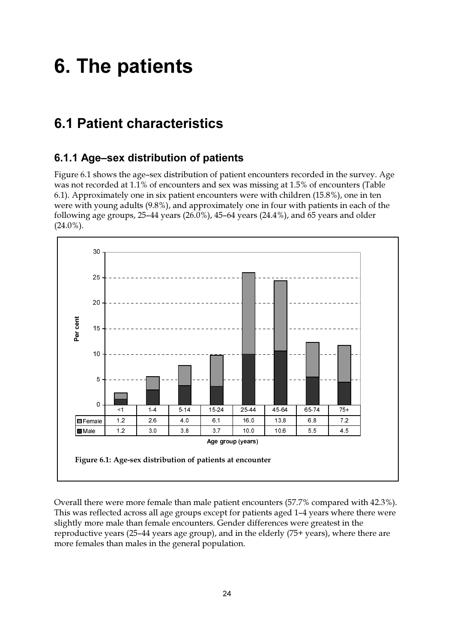# **6. The patients**

# **6.1 Patient characteristics**

# 6.1.1 Age-sex distribution of patients

Figure 6.1 shows the age-sex distribution of patient encounters recorded in the survey. Age was not recorded at 1.1% of encounters and sex was missing at 1.5% of encounters (Table 6.1). Approximately one in six patient encounters were with children (15.8%), one in ten were with young adults (9.8%), and approximately one in four with patients in each of the following age groups,  $25-44$  years  $(26.0\%)$ ,  $45-64$  years  $(24.4\%)$ , and  $65$  years and older  $(24.0\%).$ 



Overall there were more female than male patient encounters (57.7% compared with 42.3%). This was reflected across all age groups except for patients aged 1-4 years where there were slightly more male than female encounters. Gender differences were greatest in the reproductive years (25–44 years age group), and in the elderly  $(75+)$  years), where there are more females than males in the general population.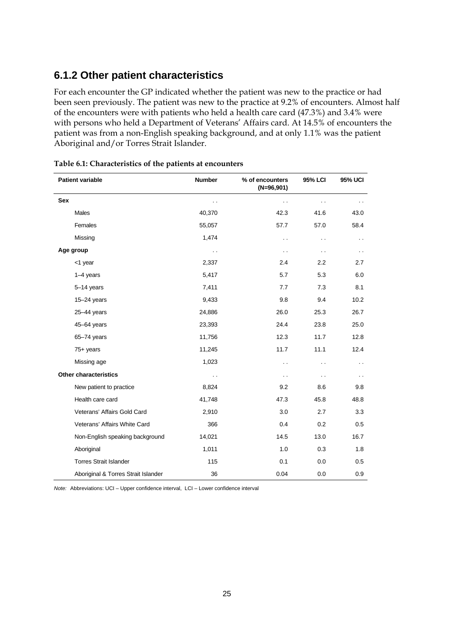# **6.1.2 Other patient characteristics**

For each encounter the GP indicated whether the patient was new to the practice or had been seen previously. The patient was new to the practice at 9.2% of encounters. Almost half of the encounters were with patients who held a health care card (47.3%) and 3.4% were with persons who held a Department of Veterans' Affairs card. At 14.5% of encounters the patient was from a non-English speaking background, and at only 1.1% was the patient Aboriginal and/or Torres Strait Islander.

| <b>Patient variable</b>             | <b>Number</b>        | % of encounters<br>$(N=96,901)$ | 95% LCI              | <b>95% UCI</b>       |
|-------------------------------------|----------------------|---------------------------------|----------------------|----------------------|
| <b>Sex</b>                          | $\ddot{\phantom{0}}$ | $\ddot{\phantom{0}}$            | $\ddot{\phantom{0}}$ |                      |
| <b>Males</b>                        | 40,370               | 42.3                            | 41.6                 | 43.0                 |
| Females                             | 55,057               | 57.7                            | 57.0                 | 58.4                 |
| Missing                             | 1,474                | $\ddot{\phantom{0}}$            | $\ddot{\phantom{0}}$ | $\ddot{\phantom{0}}$ |
| Age group                           | $\ddot{\phantom{a}}$ | $\ddot{\phantom{0}}$            | $\ddot{\phantom{0}}$ | $\ddot{\phantom{0}}$ |
| <1 year                             | 2,337                | 2.4                             | 2.2                  | 2.7                  |
| $1-4$ years                         | 5,417                | 5.7                             | 5.3                  | 6.0                  |
| 5-14 years                          | 7,411                | 7.7                             | 7.3                  | 8.1                  |
| $15 - 24$ years                     | 9,433                | 9.8                             | 9.4                  | 10.2                 |
| $25 - 44$ years                     | 24,886               | 26.0                            | 25.3                 | 26.7                 |
| 45-64 years                         | 23,393               | 24.4                            | 23.8                 | 25.0                 |
| 65-74 years                         | 11,756               | 12.3                            | 11.7                 | 12.8                 |
| $75+$ years                         | 11,245               | 11.7                            | 11.1                 | 12.4                 |
| Missing age                         | 1,023                | $\ddot{\phantom{1}}$            | $\ddot{\phantom{0}}$ | $\ddot{\phantom{0}}$ |
| <b>Other characteristics</b>        | . .                  | $\sim$                          | $\ddot{\phantom{0}}$ | $\sim$               |
| New patient to practice             | 8,824                | 9.2                             | 8.6                  | 9.8                  |
| Health care card                    | 41,748               | 47.3                            | 45.8                 | 48.8                 |
| Veterans' Affairs Gold Card         | 2,910                | 3.0                             | 2.7                  | 3.3                  |
| Veterans' Affairs White Card        | 366                  | 0.4                             | 0.2                  | 0.5                  |
| Non-English speaking background     | 14,021               | 14.5                            | 13.0                 | 16.7                 |
| Aboriginal                          | 1,011                | 1.0                             | 0.3                  | 1.8                  |
| <b>Torres Strait Islander</b>       | 115                  | 0.1                             | 0.0                  | 0.5                  |
| Aboriginal & Torres Strait Islander | 36                   | 0.04                            | 0.0                  | 0.9                  |

| Table 6.1: Characteristics of the patients at encounters |  |
|----------------------------------------------------------|--|
|----------------------------------------------------------|--|

*Note:* Abbreviations: UCI – Upper confidence interval, LCI – Lower confidence interval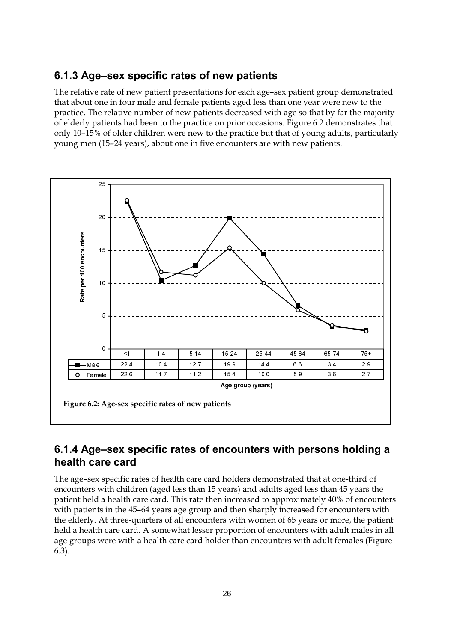### 6.1.3 Age-sex specific rates of new patients

The relative rate of new patient presentations for each age-sex patient group demonstrated that about one in four male and female patients aged less than one year were new to the practice. The relative number of new patients decreased with age so that by far the majority of elderly patients had been to the practice on prior occasions. Figure 6.2 demonstrates that only 10–15% of older children were new to the practice but that of young adults, particularly young men (15-24 years), about one in five encounters are with new patients.



# 6.1.4 Age–sex specific rates of encounters with persons holding a health care card

The age-sex specific rates of health care card holders demonstrated that at one-third of encounters with children (aged less than 15 years) and adults aged less than 45 years the patient held a health care card. This rate then increased to approximately 40% of encounters with patients in the 45-64 years age group and then sharply increased for encounters with the elderly. At three-quarters of all encounters with women of 65 years or more, the patient held a health care card. A somewhat lesser proportion of encounters with adult males in all age groups were with a health care card holder than encounters with adult females (Figure  $6.3$ ).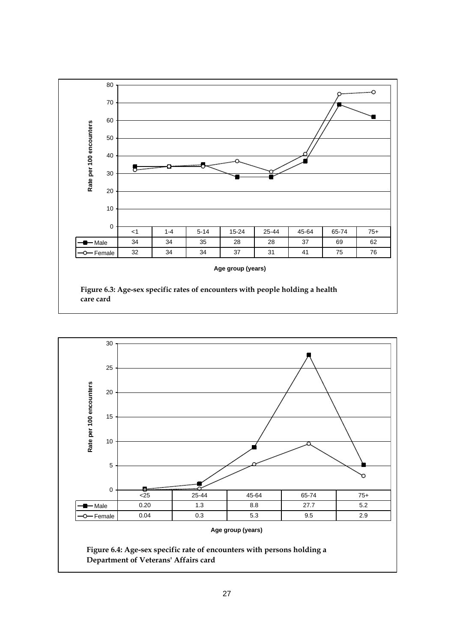

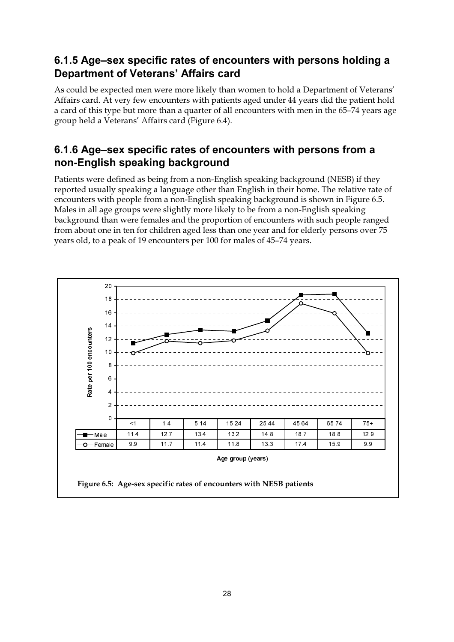# 6.1.5 Age–sex specific rates of encounters with persons holding a **Department of Veterans' Affairs card**

As could be expected men were more likely than women to hold a Department of Veterans' Affairs card. At very few encounters with patients aged under 44 years did the patient hold a card of this type but more than a quarter of all encounters with men in the 65–74 years age group held a Veterans' Affairs card (Figure 6.4).

# 6.1.6 Age-sex specific rates of encounters with persons from a non-English speaking background

Patients were defined as being from a non-English speaking background (NESB) if they reported usually speaking a language other than English in their home. The relative rate of encounters with people from a non-English speaking background is shown in Figure 6.5. Males in all age groups were slightly more likely to be from a non-English speaking background than were females and the proportion of encounters with such people ranged from about one in ten for children aged less than one year and for elderly persons over 75 years old, to a peak of 19 encounters per 100 for males of 45-74 years.

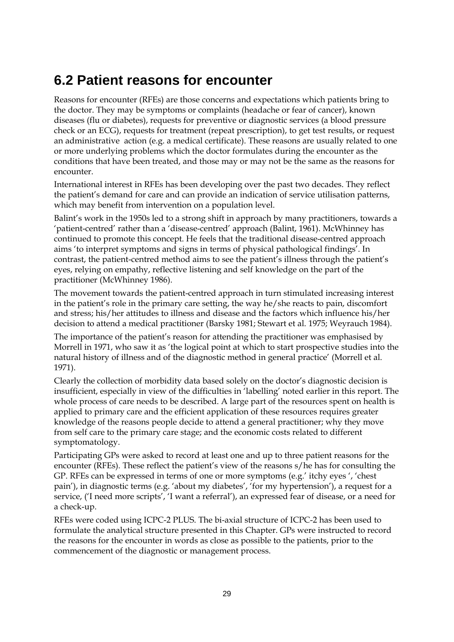# **6.2 Patient reasons for encounter**

Reasons for encounter (RFEs) are those concerns and expectations which patients bring to the doctor. They may be symptoms or complaints (headache or fear of cancer), known diseases (flu or diabetes), requests for preventive or diagnostic services (a blood pressure check or an ECG), requests for treatment (repeat prescription), to get test results, or request an administrative action (e.g. a medical certificate). These reasons are usually related to one or more underlying problems which the doctor formulates during the encounter as the conditions that have been treated, and those may or may not be the same as the reasons for encounter.

International interest in RFEs has been developing over the past two decades. They reflect the patient's demand for care and can provide an indication of service utilisation patterns, which may benefit from intervention on a population level.

Balint's work in the 1950s led to a strong shift in approach by many practitioners, towards a 'patient-centred' rather than a 'disease-centred' approach (Balint, 1961). McWhinney has continued to promote this concept. He feels that the traditional disease-centred approach aims 'to interpret symptoms and signs in terms of physical pathological findings'. In contrast, the patient-centred method aims to see the patient's illness through the patient's eyes, relying on empathy, reflective listening and self knowledge on the part of the practitioner (McWhinney 1986).

The movement towards the patient-centred approach in turn stimulated increasing interest in the patient's role in the primary care setting, the way he/she reacts to pain, discomfort and stress; his/her attitudes to illness and disease and the factors which influence his/her decision to attend a medical practitioner (Barsky 1981; Stewart et al. 1975; Weyrauch 1984).

The importance of the patient's reason for attending the practitioner was emphasised by Morrell in 1971, who saw it as 'the logical point at which to start prospective studies into the natural history of illness and of the diagnostic method in general practice' (Morrell et al. 1971).

Clearly the collection of morbidity data based solely on the doctor's diagnostic decision is insufficient, especially in view of the difficulties in 'labelling' noted earlier in this report. The whole process of care needs to be described. A large part of the resources spent on health is applied to primary care and the efficient application of these resources requires greater knowledge of the reasons people decide to attend a general practitioner; why they move from self care to the primary care stage; and the economic costs related to different symptomatology.

Participating GPs were asked to record at least one and up to three patient reasons for the encounter (RFEs). These reflect the patient's view of the reasons s/he has for consulting the GP. RFEs can be expressed in terms of one or more symptoms (e.g.' itchy eyes ', 'chest pain'), in diagnostic terms (e.g. 'about my diabetes', 'for my hypertension'), a request for a service, ('I need more scripts', 'I want a referral'), an expressed fear of disease, or a need for a check-up.

RFEs were coded using ICPC-2 PLUS. The bi-axial structure of ICPC-2 has been used to formulate the analytical structure presented in this Chapter. GPs were instructed to record the reasons for the encounter in words as close as possible to the patients, prior to the commencement of the diagnostic or management process.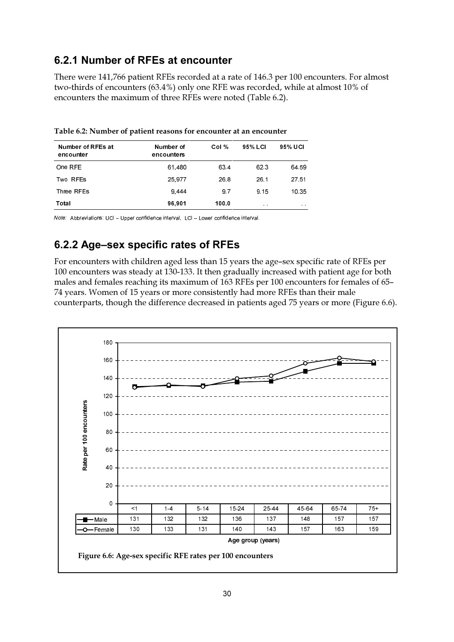# 6.2.1 Number of RFEs at encounter

There were 141,766 patient RFEs recorded at a rate of 146.3 per 100 encounters. For almost two-thirds of encounters (63.4%) only one RFE was recorded, while at almost 10% of encounters the maximum of three RFEs were noted (Table 6.2).

| Number of RFEs at<br>encounter | Number of<br>encounters | Col % | 95% LCI      | 95% UCI       |
|--------------------------------|-------------------------|-------|--------------|---------------|
| One RFE                        | 61.480                  | 63.4  | 62.3         | 64 59         |
| Two RFEs                       | 25 977                  | 26.8  | 26.1         | 27.51         |
| Three RFEs                     | 9.444                   | 97    | 9.15         | 10.35         |
| Total                          | 96,901                  | 100.0 | $\mathbf{a}$ | $\sim$ $\sim$ |

Table 6.2: Number of patient reasons for encounter at an encounter

Note: Abbreviations: UCI - Upper confidence interval, LCI - Lower confidence interval.

# 6.2.2 Age-sex specific rates of RFEs

For encounters with children aged less than 15 years the age-sex specific rate of RFEs per 100 encounters was steady at 130-133. It then gradually increased with patient age for both males and females reaching its maximum of 163 RFEs per 100 encounters for females of 65-74 years. Women of 15 years or more consistently had more RFEs than their male counterparts, though the difference decreased in patients aged 75 years or more (Figure 6.6).

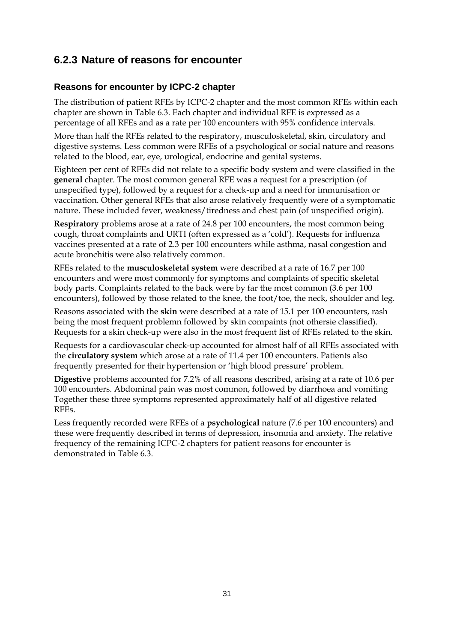# **6.2.3 Nature of reasons for encounter**

#### **Reasons for encounter by ICPC-2 chapter**

The distribution of patient RFEs by ICPC-2 chapter and the most common RFEs within each chapter are shown in Table 6.3. Each chapter and individual RFE is expressed as a percentage of all RFEs and as a rate per 100 encounters with 95% confidence intervals.

More than half the RFEs related to the respiratory, musculoskeletal, skin, circulatory and digestive systems. Less common were RFEs of a psychological or social nature and reasons related to the blood, ear, eye, urological, endocrine and genital systems.

Eighteen per cent of RFEs did not relate to a specific body system and were classified in the **general** chapter. The most common general RFE was a request for a prescription (of unspecified type), followed by a request for a check-up and a need for immunisation or vaccination. Other general RFEs that also arose relatively frequently were of a symptomatic nature. These included fever, weakness/tiredness and chest pain (of unspecified origin).

**Respiratory** problems arose at a rate of 24.8 per 100 encounters, the most common being cough, throat complaints and URTI (often expressed as a 'cold'). Requests for influenza vaccines presented at a rate of 2.3 per 100 encounters while asthma, nasal congestion and acute bronchitis were also relatively common.

RFEs related to the **musculoskeletal system** were described at a rate of 16.7 per 100 encounters and were most commonly for symptoms and complaints of specific skeletal body parts. Complaints related to the back were by far the most common (3.6 per 100 encounters), followed by those related to the knee, the foot/toe, the neck, shoulder and leg.

Reasons associated with the **skin** were described at a rate of 15.1 per 100 encounters, rash being the most frequent problemn followed by skin compaints (not othersie classified). Requests for a skin check-up were also in the most frequent list of RFEs related to the skin.

Requests for a cardiovascular check-up accounted for almost half of all RFEs associated with the **circulatory system** which arose at a rate of 11.4 per 100 encounters. Patients also frequently presented for their hypertension or 'high blood pressure' problem.

**Digestive** problems accounted for 7.2% of all reasons described, arising at a rate of 10.6 per 100 encounters. Abdominal pain was most common, followed by diarrhoea and vomiting Together these three symptoms represented approximately half of all digestive related RFEs.

Less frequently recorded were RFEs of a **psychological** nature (7.6 per 100 encounters) and these were frequently described in terms of depression, insomnia and anxiety. The relative frequency of the remaining ICPC-2 chapters for patient reasons for encounter is demonstrated in Table 6.3.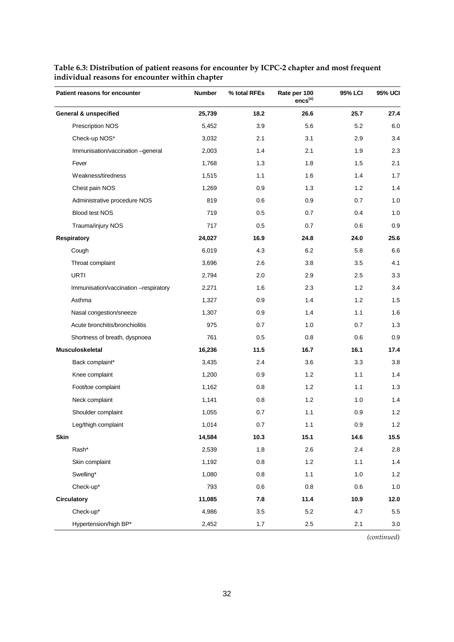| Patient reasons for encounter         | <b>Number</b> | % total RFEs | Rate per 100<br>$encs^{(a)}$ | 95% LCI | <b>95% UCI</b> |
|---------------------------------------|---------------|--------------|------------------------------|---------|----------------|
| <b>General &amp; unspecified</b>      | 25,739        | 18.2         | 26.6                         | 25.7    | 27.4           |
| Prescription NOS                      | 5,452         | 3.9          | 5.6                          | 5.2     | 6.0            |
| Check-up NOS*                         | 3,032         | 2.1          | 3.1                          | 2.9     | 3.4            |
| Immunisation/vaccination -general     | 2,003         | 1.4          | 2.1                          | 1.9     | 2.3            |
| Fever                                 | 1,768         | 1.3          | 1.8                          | 1.5     | 2.1            |
| Weakness/tiredness                    | 1,515         | 1.1          | 1.6                          | 1.4     | 1.7            |
| Chest pain NOS                        | 1,269         | 0.9          | 1.3                          | 1.2     | 1.4            |
| Administrative procedure NOS          | 819           | 0.6          | 0.9                          | 0.7     | 1.0            |
| Blood test NOS                        | 719           | 0.5          | 0.7                          | 0.4     | 1.0            |
| Trauma/injury NOS                     | 717           | 0.5          | 0.7                          | 0.6     | 0.9            |
| Respiratory                           | 24,027        | 16.9         | 24.8                         | 24.0    | 25.6           |
| Cough                                 | 6,019         | 4.3          | 6.2                          | 5.8     | 6.6            |
| Throat complaint                      | 3,696         | 2.6          | 3.8                          | 3.5     | 4.1            |
| <b>URTI</b>                           | 2,794         | 2.0          | 2.9                          | 2.5     | 3.3            |
| Immunisation/vaccination -respiratory | 2,271         | 1.6          | 2.3                          | 1.2     | 3.4            |
| Asthma                                | 1,327         | 0.9          | 1.4                          | 1.2     | 1.5            |
| Nasal congestion/sneeze               | 1,307         | 0.9          | 1.4                          | 1.1     | 1.6            |
| Acute bronchitis/bronchiolitis        | 975           | 0.7          | 1.0                          | 0.7     | 1.3            |
| Shortness of breath, dyspnoea         | 761           | 0.5          | 0.8                          | 0.6     | 0.9            |
| Musculoskeletal                       | 16,236        | 11.5         | 16.7                         | 16.1    | 17.4           |
| Back complaint*                       | 3,435         | 2.4          | 3.6                          | 3.3     | 3.8            |
| Knee complaint                        | 1,200         | 0.9          | 1.2                          | 1.1     | 1.4            |
| Foot/toe complaint                    | 1,162         | 0.8          | 1.2                          | 1.1     | 1.3            |
| Neck complaint                        | 1,141         | 0.8          | 1.2                          | 1.0     | 1.4            |
| Shoulder complaint                    | 1,055         | 0.7          | 1.1                          | 0.9     | 1.2            |
| Leg/thigh complaint                   | 1,014         | 0.7          | 1.1                          | 0.9     | $1.2$          |
| <b>Skin</b>                           | 14,584        | 10.3         | 15.1                         | 14.6    | 15.5           |
| Rash*                                 | 2,539         | 1.8          | 2.6                          | 2.4     | 2.8            |
| Skin complaint                        | 1,192         | 0.8          | $1.2$                        | 1.1     | 1.4            |
| Swelling*                             | 1,080         | 0.8          | 1.1                          | 1.0     | $1.2$          |
| Check-up*                             | 793           | 0.6          | 0.8                          | 0.6     | 1.0            |
| <b>Circulatory</b>                    | 11,085        | 7.8          | 11.4                         | 10.9    | 12.0           |
| Check-up*                             | 4,986         | 3.5          | 5.2                          | 4.7     | $5.5\,$        |
| Hypertension/high BP*                 | 2,452         | $1.7$        | $2.5\,$                      | 2.1     | 3.0            |

#### **Table 6.3: Distribution of patient reasons for encounter by ICPC-2 chapter and most frequent individual reasons for encounter within chapter**

*(continued)*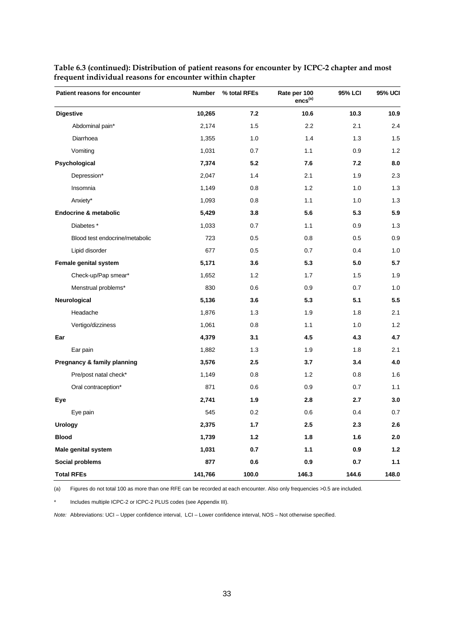| Patient reasons for encounter  | <b>Number</b> | % total RFEs | Rate per 100<br>$encs^{(a)}$ | 95% LCI | 95% UCI |
|--------------------------------|---------------|--------------|------------------------------|---------|---------|
| <b>Digestive</b>               | 10,265        | 7.2          | 10.6                         | 10.3    | 10.9    |
| Abdominal pain*                | 2,174         | 1.5          | 2.2                          | 2.1     | 2.4     |
| Diarrhoea                      | 1,355         | 1.0          | 1.4                          | 1.3     | 1.5     |
| Vomiting                       | 1,031         | 0.7          | 1.1                          | 0.9     | 1.2     |
| Psychological                  | 7,374         | 5.2          | 7.6                          | 7.2     | 8.0     |
| Depression*                    | 2,047         | 1.4          | 2.1                          | 1.9     | 2.3     |
| Insomnia                       | 1,149         | 0.8          | 1.2                          | 1.0     | 1.3     |
| Anxiety*                       | 1,093         | 0.8          | 1.1                          | 1.0     | 1.3     |
| Endocrine & metabolic          | 5,429         | 3.8          | 5.6                          | 5.3     | 5.9     |
| Diabetes <sup>*</sup>          | 1,033         | 0.7          | 1.1                          | 0.9     | 1.3     |
| Blood test endocrine/metabolic | 723           | 0.5          | 0.8                          | 0.5     | 0.9     |
| Lipid disorder                 | 677           | 0.5          | 0.7                          | 0.4     | 1.0     |
| Female genital system          | 5,171         | 3.6          | 5.3                          | 5.0     | 5.7     |
| Check-up/Pap smear*            | 1,652         | 1.2          | 1.7                          | 1.5     | 1.9     |
| Menstrual problems*            | 830           | 0.6          | 0.9                          | 0.7     | 1.0     |
| Neurological                   | 5,136         | 3.6          | 5.3                          | 5.1     | 5.5     |
| Headache                       | 1,876         | 1.3          | 1.9                          | 1.8     | 2.1     |
| Vertigo/dizziness              | 1,061         | 0.8          | 1.1                          | 1.0     | 1.2     |
| Ear                            | 4,379         | 3.1          | 4.5                          | 4.3     | 4.7     |
| Ear pain                       | 1,882         | 1.3          | 1.9                          | 1.8     | 2.1     |
| Pregnancy & family planning    | 3,576         | 2.5          | 3.7                          | 3.4     | 4.0     |
| Pre/post natal check*          | 1,149         | 0.8          | 1.2                          | 0.8     | 1.6     |
| Oral contraception*            | 871           | 0.6          | 0.9                          | 0.7     | 1.1     |
| Eye                            | 2,741         | 1.9          | 2.8                          | 2.7     | 3.0     |
| Eye pain                       | 545           | 0.2          | 0.6                          | 0.4     | 0.7     |
| <b>Urology</b>                 | 2,375         | 1.7          | 2.5                          | 2.3     | 2.6     |
| <b>Blood</b>                   | 1,739         | 1.2          | 1.8                          | 1.6     | 2.0     |
| Male genital system            | 1,031         | 0.7          | 1.1                          | 0.9     | 1.2     |
| Social problems                | 877           | 0.6          | 0.9                          | 0.7     | 1.1     |
| <b>Total RFEs</b>              | 141,766       | 100.0        | 146.3                        | 144.6   | 148.0   |

**Table 6.3 (continued): Distribution of patient reasons for encounter by ICPC-2 chapter and most frequent individual reasons for encounter within chapter**

(a) Figures do not total 100 as more than one RFE can be recorded at each encounter. Also only frequencies >0.5 are included.

\* Includes multiple ICPC-2 or ICPC-2 PLUS codes (see Appendix III).

*Note:* Abbreviations: UCI – Upper confidence interval, LCI – Lower confidence interval, NOS – Not otherwise specified.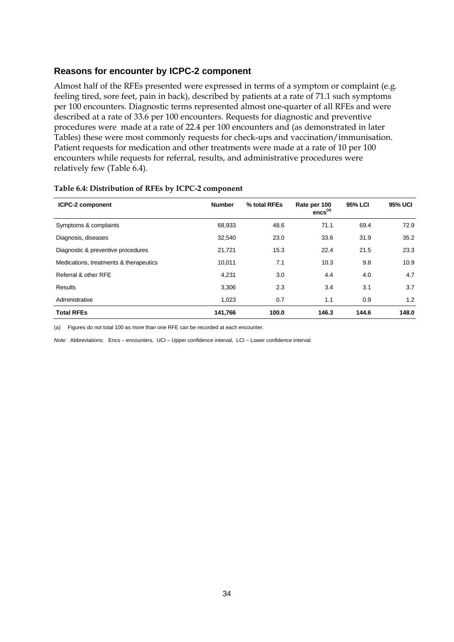#### **Reasons for encounter by ICPC-2 component**

Almost half of the RFEs presented were expressed in terms of a symptom or complaint (e.g. feeling tired, sore feet, pain in back), described by patients at a rate of 71.1 such symptoms per 100 encounters. Diagnostic terms represented almost one-quarter of all RFEs and were described at a rate of 33.6 per 100 encounters. Requests for diagnostic and preventive procedures were made at a rate of 22.4 per 100 encounters and (as demonstrated in later Tables) these were most commonly requests for check-ups and vaccination/immunisation. Patient requests for medication and other treatments were made at a rate of 10 per 100 encounters while requests for referral, results, and administrative procedures were relatively few (Table 6.4).

| <b>ICPC-2 component</b>                | <b>Number</b> | % total RFEs | Rate per 100<br>$encs^{(a)}$ | <b>95% LCI</b> | <b>95% UCI</b> |
|----------------------------------------|---------------|--------------|------------------------------|----------------|----------------|
| Symptoms & complaints                  | 68,933        | 48.6         | 71.1                         | 69.4           | 72.9           |
| Diagnosis, diseases                    | 32,540        | 23.0         | 33.6                         | 31.9           | 35.2           |
| Diagnostic & preventive procedures     | 21,721        | 15.3         | 22.4                         | 21.5           | 23.3           |
| Medications, treatments & therapeutics | 10,011        | 7.1          | 10.3                         | 9.8            | 10.9           |
| Referral & other RFE                   | 4,231         | 3.0          | 4.4                          | 4.0            | 4.7            |
| Results                                | 3,306         | 2.3          | 3.4                          | 3.1            | 3.7            |
| Administrative                         | 1,023         | 0.7          | 1.1                          | 0.9            | 1.2            |
| <b>Total RFEs</b>                      | 141,766       | 100.0        | 146.3                        | 144.6          | 148.0          |

#### **Table 6.4: Distribution of RFEs by ICPC-2 component**

(a) Figures do not total 100 as more than one RFE can be recorded at each encounter.

*Note:* Abbreviations: Encs – encounters, UCI – Upper confidence interval, LCI – Lower confidence interval.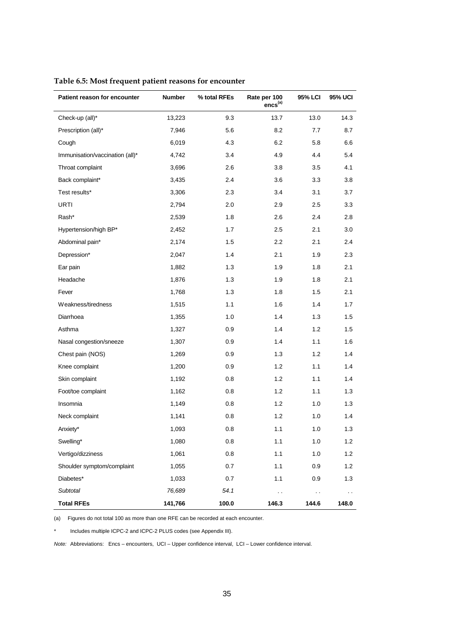| Patient reason for encounter    | Number  | % total RFEs | Rate per 100<br>$encs^{(a)}$ | <b>95% LCI</b> | <b>95% UCI</b> |
|---------------------------------|---------|--------------|------------------------------|----------------|----------------|
| Check-up (all)*                 | 13,223  | 9.3          | 13.7                         | 13.0           | 14.3           |
| Prescription (all)*             | 7,946   | 5.6          | 8.2                          | 7.7            | 8.7            |
| Cough                           | 6,019   | 4.3          | 6.2                          | 5.8            | 6.6            |
| Immunisation/vaccination (all)* | 4,742   | 3.4          | 4.9                          | 4.4            | 5.4            |
| Throat complaint                | 3,696   | 2.6          | 3.8                          | 3.5            | 4.1            |
| Back complaint*                 | 3,435   | 2.4          | 3.6                          | 3.3            | 3.8            |
| Test results*                   | 3,306   | 2.3          | 3.4                          | 3.1            | 3.7            |
| URTI                            | 2,794   | 2.0          | 2.9                          | 2.5            | 3.3            |
| Rash*                           | 2,539   | 1.8          | 2.6                          | 2.4            | 2.8            |
| Hypertension/high BP*           | 2,452   | 1.7          | 2.5                          | 2.1            | 3.0            |
| Abdominal pain*                 | 2,174   | 1.5          | 2.2                          | 2.1            | 2.4            |
| Depression*                     | 2,047   | 1.4          | 2.1                          | 1.9            | 2.3            |
| Ear pain                        | 1,882   | 1.3          | 1.9                          | 1.8            | 2.1            |
| Headache                        | 1,876   | 1.3          | 1.9                          | 1.8            | 2.1            |
| Fever                           | 1,768   | 1.3          | 1.8                          | 1.5            | 2.1            |
| Weakness/tiredness              | 1,515   | 1.1          | 1.6                          | 1.4            | 1.7            |
| Diarrhoea                       | 1,355   | 1.0          | 1.4                          | 1.3            | 1.5            |
| Asthma                          | 1,327   | 0.9          | 1.4                          | 1.2            | 1.5            |
| Nasal congestion/sneeze         | 1,307   | 0.9          | 1.4                          | 1.1            | 1.6            |
| Chest pain (NOS)                | 1,269   | 0.9          | 1.3                          | 1.2            | 1.4            |
| Knee complaint                  | 1,200   | 0.9          | 1.2                          | 1.1            | 1.4            |
| Skin complaint                  | 1,192   | 0.8          | 1.2                          | 1.1            | 1.4            |
| Foot/toe complaint              | 1,162   | 0.8          | 1.2                          | 1.1            | 1.3            |
| Insomnia                        | 1,149   | 0.8          | 1.2                          | 1.0            | 1.3            |
| Neck complaint                  | 1,141   | 0.8          | $1.2$                        | 1.0            | 1.4            |
| Anxiety*                        | 1,093   | 0.8          | 1.1                          | 1.0            | 1.3            |
| Swelling*                       | 1,080   | 0.8          | 1.1                          | 1.0            | 1.2            |
| Vertigo/dizziness               | 1,061   | $0.8\,$      | 1.1                          | 1.0            | 1.2            |
| Shoulder symptom/complaint      | 1,055   | 0.7          | 1.1                          | 0.9            | 1.2            |
| Diabetes*                       | 1,033   | 0.7          | 1.1                          | 0.9            | 1.3            |
| Subtotal                        | 76,689  | 54.1         | $\sim$ $\sim$                | $\sim$ $\sim$  | $\sim$         |
| <b>Total RFEs</b>               | 141,766 | 100.0        | 146.3                        | 144.6          | 148.0          |

#### **Table 6.5: Most frequent patient reasons for encounter**

(a) Figures do not total 100 as more than one RFE can be recorded at each encounter.

Includes multiple ICPC-2 and ICPC-2 PLUS codes (see Appendix III).

*Note:* Abbreviations: Encs – encounters, UCI – Upper confidence interval, LCI – Lower confidence interval.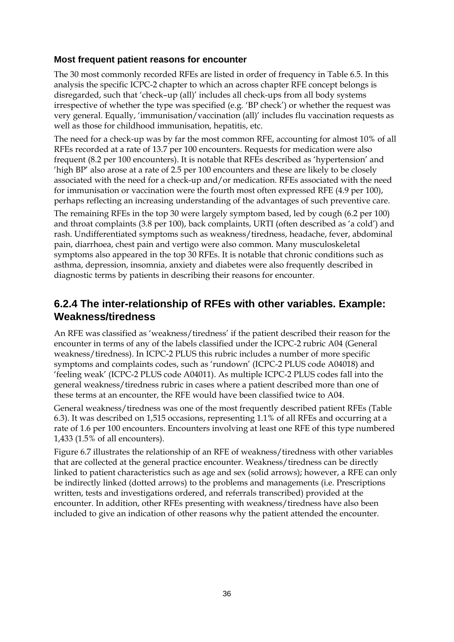#### **Most frequent patient reasons for encounter**

The 30 most commonly recorded RFEs are listed in order of frequency in Table 6.5. In this analysis the specific ICPC-2 chapter to which an across chapter RFE concept belongs is disregarded, such that 'check–up (all)' includes all check-ups from all body systems irrespective of whether the type was specified (e.g. 'BP check') or whether the request was very general. Equally, 'immunisation/vaccination (all)' includes flu vaccination requests as well as those for childhood immunisation, hepatitis, etc.

The need for a check-up was by far the most common RFE, accounting for almost 10% of all RFEs recorded at a rate of 13.7 per 100 encounters. Requests for medication were also frequent (8.2 per 100 encounters). It is notable that RFEs described as 'hypertension' and 'high BP' also arose at a rate of 2.5 per 100 encounters and these are likely to be closely associated with the need for a check-up and/or medication. RFEs associated with the need for immunisation or vaccination were the fourth most often expressed RFE (4.9 per 100), perhaps reflecting an increasing understanding of the advantages of such preventive care.

The remaining RFEs in the top 30 were largely symptom based, led by cough (6.2 per 100) and throat complaints (3.8 per 100), back complaints, URTI (often described as 'a cold') and rash. Undifferentiated symptoms such as weakness/tiredness, headache, fever, abdominal pain, diarrhoea, chest pain and vertigo were also common. Many musculoskeletal symptoms also appeared in the top 30 RFEs. It is notable that chronic conditions such as asthma, depression, insomnia, anxiety and diabetes were also frequently described in diagnostic terms by patients in describing their reasons for encounter.

### **6.2.4 The inter-relationship of RFEs with other variables. Example: Weakness/tiredness**

An RFE was classified as 'weakness/tiredness' if the patient described their reason for the encounter in terms of any of the labels classified under the ICPC-2 rubric A04 (General weakness/tiredness). In ICPC-2 PLUS this rubric includes a number of more specific symptoms and complaints codes, such as 'rundown' (ICPC-2 PLUS code A04018) and 'feeling weak' (ICPC-2 PLUS code A04011). As multiple ICPC-2 PLUS codes fall into the general weakness/tiredness rubric in cases where a patient described more than one of these terms at an encounter, the RFE would have been classified twice to A04.

General weakness/tiredness was one of the most frequently described patient RFEs (Table 6.3). It was described on 1,515 occasions, representing 1.1% of all RFEs and occurring at a rate of 1.6 per 100 encounters. Encounters involving at least one RFE of this type numbered 1,433 (1.5% of all encounters).

Figure 6.7 illustrates the relationship of an RFE of weakness/tiredness with other variables that are collected at the general practice encounter. Weakness/tiredness can be directly linked to patient characteristics such as age and sex (solid arrows); however, a RFE can only be indirectly linked (dotted arrows) to the problems and managements (i.e. Prescriptions written, tests and investigations ordered, and referrals transcribed) provided at the encounter. In addition, other RFEs presenting with weakness/tiredness have also been included to give an indication of other reasons why the patient attended the encounter.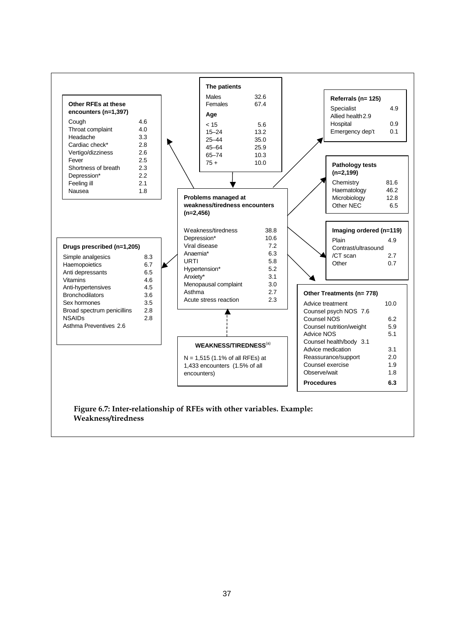

**Weakness/tiredness**